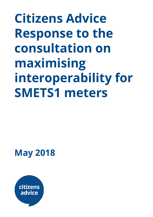**Citizens Advice Response to the consultation on maximising interoperability for SMETS1 meters**

**May 2018**

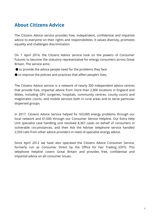## **About Citizens Advice**

The Citizens Advice service provides free, independent, confidential and impartial advice to everyone on their rights and responsibilities. It values diversity, promotes equality and challenges discrimination.

On 1 April 2014, the Citizens Advice service took on the powers of Consumer Futures to become the statutory representative for energy consumers across Great Britain. The service aims:

- $\bullet$  to provide the advice people need for the problems they face
- to improve the policies and practices that affect people's lives.

The Citizens Advice service is a network of nearly 300 independent advice centres that provide free, impartial advice from more than 2,900 locations in England and Wales, including GPs' surgeries, hospitals, community centres, county courts and magistrates courts, and mobile services both in rural areas and to serve particular dispersed groups.

In 2017, Citizens Advice Service helped fix 163,000 energy problems through our local network and 61,000 through our Consumer Service Helpline. Our Extra Help Unit specialist case handling unit resolved 8,367 cases on behalf of consumers in vulnerable circumstances, and their Ask the Adviser telephone service handled 2,593 calls from other advice providers in need of specialist energy advice.

Since April 2012 we have also operated the Citizens Advice Consumer Service, formerly run as Consumer Direct by the Office for Fair Trading (OFT). This telephone helpline covers Great Britain and provides free, confidential and impartial advice on all consumer issues.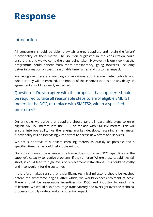## **Response**

## Introduction

All consumers should be able to switch energy suppliers and retain the 'smart' functionality of their meter. The solution suggested in the consultation could ensure this and we welcome the steps being taken. However, it is our view that the programme could benefit from more transparency, going forwards, including better information on costs, reasonable timeframes and customer impact.

We recognise there are ongoing conversations about some meter cohorts and whether they will be enrolled. The impact of these conversations and any delays in agreement should be clearly explained.

Question 1: Do you agree with the proposal that suppliers should be required to take all reasonable steps to enrol eligible SMETS1 meters in the DCC, or replace with SMETS2, within a specified timeframe?

On principle, we agree that suppliers should take all reasonable steps to enrol eligible SMETS1 meters into the DCC, or replace with SMETS2 meters. This will ensure interoperability. As the energy market develops, retaining smart meter functionality will be increasingly important to access new offers and services.

We are supportive of suppliers enrolling meters as quickly as possible and a specified time frame could help focus minds.

Our concern would be where a time frame does not reflect DCC capabilities or the supplier's capacity to resolve problems, if they emerge. Where these capabilities fall short, it could lead to high levels of replacement installations. This could be costly and inconvenient for the customer.

It therefore makes sense that a significant technical milestone should be reached before the timeframe begins, after which, we would expect enrolment at scale. There should be reasonable incentives for DCC and industry to reach this milestone. We would also encourage transparency and oversight over the technical processes to fully understand any potential impact.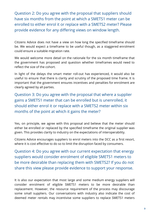Question 2: Do you agree with the proposal that suppliers should have six months from the point at which a SMETS1 meter can be enrolled to either enrol it or replace with a SMETS2 meter? Please provide evidence for any differing views on window length.

Citizens Advice does not have a view on how long the specified timeframe should be. We would expect a timeframe to be useful though, as a staggered enrolment could ensure a suitable migration rate.

We would welcome more detail on the rationale for the six month timeframe that the government has proposed and question whether timeframes would need to reflect the size of the cohort.

In light of the delays the smart meter roll-out has experienced, it would also be useful to ensure that there is clarity and scrutiny of the proposed time frame. It is important that the government ensures incentives and penalties for enrolment are clearly agreed by all parties.

Question 3: Do you agree with the proposal that where a supplier gains a SMETS1 meter that can be enrolled but is unenrolled, it should either enrol it or replace with a SMETS2 meter within six months of the point at which it gains the meter?

Yes, on principle, we agree with this proposal and believe that the meter should either be enrolled or replaced by the specified timeframe the original supplier was given. This provides clarity to industry on the expectations of interoperability.

Citizens Advice encourages suppliers to enrol meters into the DCC as a first resort, where it is cost effective to do so to limit the disruption faced by consumers.

Question 4: Do you agree with our current expectation that energy suppliers would consider enrolment of eligible SMETS1 meters to be more desirable than replacing them with SMETS2? If you do not share this view please provide evidence to support your response.

It is also our expectation that most large and some medium energy suppliers will consider enrolment of eligible SMETS1 meters to be more desirable than replacement. However, the resource requirement of the process may discourage some small suppliers. Our conversations with industry also indicate the cost of deemed meter rentals may incentivise some suppliers to replace SMETS1 meters